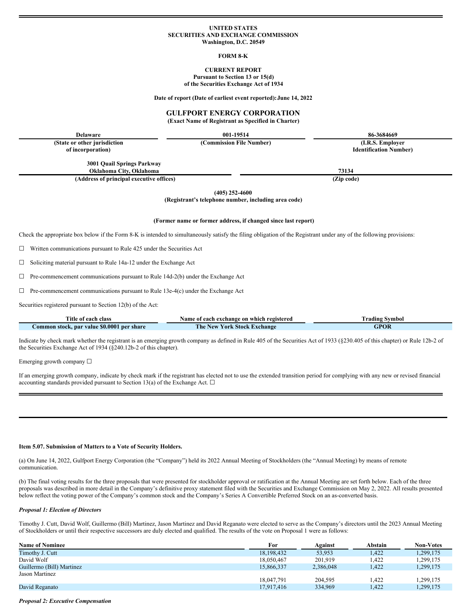### **UNITED STATES SECURITIES AND EXCHANGE COMMISSION Washington, D.C. 20549**

### **FORM 8-K**

## **CURRENT REPORT Pursuant to Section 13 or 15(d) of the Securities Exchange Act of 1934**

**Date of report (Date of earliest event reported):June 14, 2022**

# **GULFPORT ENERGY CORPORATION**

**(Exact Name of Registrant as Specified in Charter)**

**Delaware 001-19514 86-3684669**

**(State or other jurisdiction of incorporation)**

> **3001 Quail Springs Parkway Oklahoma City, Oklahoma 73134**

**(Address of principal executive offices) (Zip code)**

**(405) 252-4600**

**(Registrant's telephone number, including area code)**

#### **(Former name or former address, if changed since last report)**

Check the appropriate box below if the Form 8-K is intended to simultaneously satisfy the filing obligation of the Registrant under any of the following provisions:

☐ Written communications pursuant to Rule 425 under the Securities Act

 $\Box$  Soliciting material pursuant to Rule 14a-12 under the Exchange Act

☐ Pre-commencement communications pursuant to Rule 14d-2(b) under the Exchange Act

☐ Pre-commencement communications pursuant to Rule 13e-4(c) under the Exchange Act

Securities registered pursuant to Section 12(b) of the Act:

| Title of each class                        | Name of each exchange on which registered | Frading Symbol |  |
|--------------------------------------------|-------------------------------------------|----------------|--|
| Common stock, par value \$0.0001 per share | The New York Stock Exchange               | <b>GPOR</b>    |  |

Indicate by check mark whether the registrant is an emerging growth company as defined in Rule 405 of the Securities Act of 1933 (§230.405 of this chapter) or Rule 12b-2 of the Securities Exchange Act of 1934 (§240.12b-2 of this chapter).

Emerging growth company ☐

If an emerging growth company, indicate by check mark if the registrant has elected not to use the extended transition period for complying with any new or revised financial accounting standards provided pursuant to Section 13(a) of the Exchange Act.  $\Box$ 

#### **Item 5.07. Submission of Matters to a Vote of Security Holders.**

(a) On June 14, 2022, Gulfport Energy Corporation (the "Company") held its 2022 Annual Meeting of Stockholders (the "Annual Meeting) by means of remote communication.

(b) The final voting results for the three proposals that were presented for stockholder approval or ratification at the Annual Meeting are set forth below. Each of the three proposals was described in more detail in the Company's definitive proxy statement filed with the Securities and Exchange Commission on May 2, 2022. All results presented below reflect the voting power of the Company's common stock and the Company's Series A Convertible Preferred Stock on an as-converted basis.

### *Proposal 1: Election of Directors*

Timothy J. Cutt, David Wolf, Guillermo (Bill) Martinez, Jason Martinez and David Reganato were elected to serve as the Company's directors until the 2023 Annual Meeting of Stockholders or until their respective successors are duly elected and qualified. The results of the vote on Proposal 1 were as follows:

| <b>Name of Nominee</b>    | For        | Against   | Abstain | <b>Non-Votes</b> |
|---------------------------|------------|-----------|---------|------------------|
| Timothy J. Cutt           | 18.198.432 | 53.953    | 1.422   | 1,299,175        |
| David Wolf                | 18,050,467 | 201.919   | .422    | .299,175         |
| Guillermo (Bill) Martinez | 15.866.337 | 2,386,048 | .422    | .299,175         |
| Jason Martinez            |            |           |         |                  |
|                           | 18,047,791 | 204.595   | .422    | .299,175         |
| David Reganato            | 17.917.416 | 334,969   | 1.422   | .299,175         |

*Proposal 2: Executive Compensation*

**(Commission File Number) (I.R.S. Employer Identification Number)**

| urities registered pursuant to Section 12(b) of the Act: |  |
|----------------------------------------------------------|--|
|----------------------------------------------------------|--|